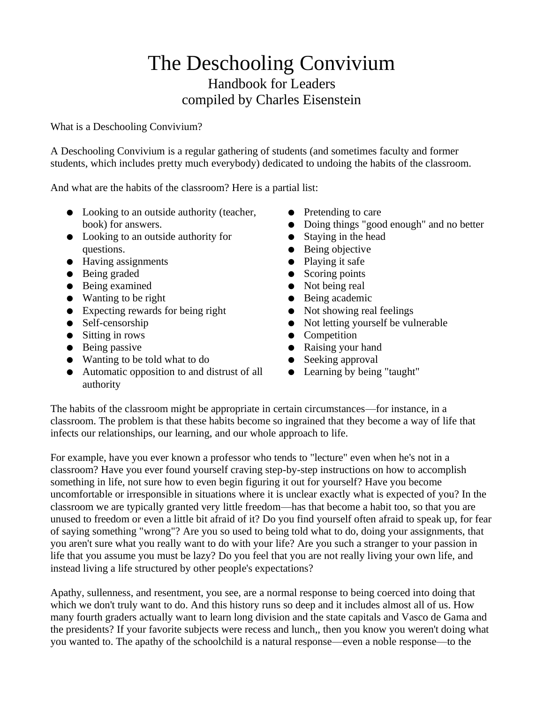# The Deschooling Convivium Handbook for Leaders compiled by Charles Eisenstein

What is a Deschooling Convivium?

A Deschooling Convivium is a regular gathering of students (and sometimes faculty and former students, which includes pretty much everybody) dedicated to undoing the habits of the classroom.

And what are the habits of the classroom? Here is a partial list:

- Looking to an outside authority (teacher, book) for answers.
- Looking to an outside authority for questions.
- Having assignments
- Being graded
- Being examined
- Wanting to be right
- Expecting rewards for being right
- Self-censorship
- Sitting in rows
- Being passive
- Wanting to be told what to do
- Automatic opposition to and distrust of all authority
- Pretending to care
- Doing things "good enough" and no better
- Staying in the head
- Being objective
- Playing it safe
- Scoring points
- Not being real
- Being academic
- Not showing real feelings
- Not letting yourself be vulnerable
- Competition
- Raising your hand
- Seeking approval
- Learning by being "taught"

The habits of the classroom might be appropriate in certain circumstances—for instance, in a classroom. The problem is that these habits become so ingrained that they become a way of life that infects our relationships, our learning, and our whole approach to life.

For example, have you ever known a professor who tends to "lecture" even when he's not in a classroom? Have you ever found yourself craving step-by-step instructions on how to accomplish something in life, not sure how to even begin figuring it out for yourself? Have you become uncomfortable or irresponsible in situations where it is unclear exactly what is expected of you? In the classroom we are typically granted very little freedom—has that become a habit too, so that you are unused to freedom or even a little bit afraid of it? Do you find yourself often afraid to speak up, for fear of saying something "wrong"? Are you so used to being told what to do, doing your assignments, that you aren't sure what you really want to do with your life? Are you such a stranger to your passion in life that you assume you must be lazy? Do you feel that you are not really living your own life, and instead living a life structured by other people's expectations?

Apathy, sullenness, and resentment, you see, are a normal response to being coerced into doing that which we don't truly want to do. And this history runs so deep and it includes almost all of us. How many fourth graders actually want to learn long division and the state capitals and Vasco de Gama and the presidents? If your favorite subjects were recess and lunch,, then you know you weren't doing what you wanted to. The apathy of the schoolchild is a natural response—even a noble response—to the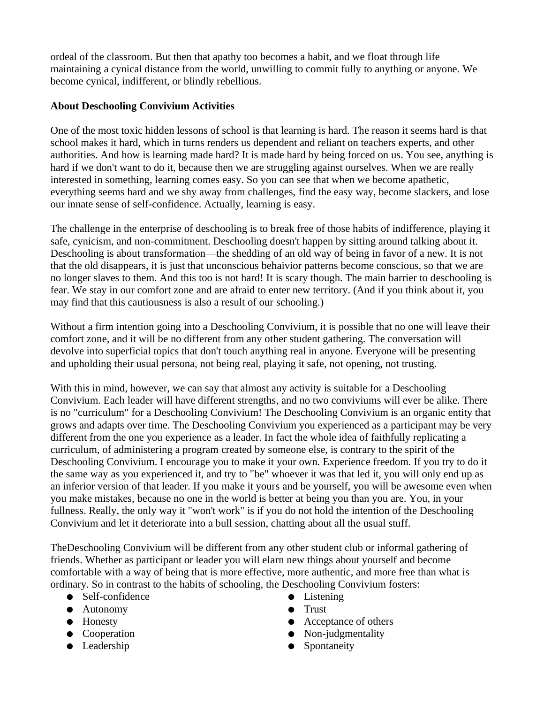ordeal of the classroom. But then that apathy too becomes a habit, and we float through life maintaining a cynical distance from the world, unwilling to commit fully to anything or anyone. We become cynical, indifferent, or blindly rebellious.

# **About Deschooling Convivium Activities**

One of the most toxic hidden lessons of school is that learning is hard. The reason it seems hard is that school makes it hard, which in turns renders us dependent and reliant on teachers experts, and other authorities. And how is learning made hard? It is made hard by being forced on us. You see, anything is hard if we don't want to do it, because then we are struggling against ourselves. When we are really interested in something, learning comes easy. So you can see that when we become apathetic, everything seems hard and we shy away from challenges, find the easy way, become slackers, and lose our innate sense of self-confidence. Actually, learning is easy.

The challenge in the enterprise of deschooling is to break free of those habits of indifference, playing it safe, cynicism, and non-commitment. Deschooling doesn't happen by sitting around talking about it. Deschooling is about transformation—the shedding of an old way of being in favor of a new. It is not that the old disappears, it is just that unconscious behaivior patterns become conscious, so that we are no longer slaves to them. And this too is not hard! It is scary though. The main barrier to deschooling is fear. We stay in our comfort zone and are afraid to enter new territory. (And if you think about it, you may find that this cautiousness is also a result of our schooling.)

Without a firm intention going into a Deschooling Convivium, it is possible that no one will leave their comfort zone, and it will be no different from any other student gathering. The conversation will devolve into superficial topics that don't touch anything real in anyone. Everyone will be presenting and upholding their usual persona, not being real, playing it safe, not opening, not trusting.

With this in mind, however, we can say that almost any activity is suitable for a Deschooling Convivium. Each leader will have different strengths, and no two conviviums will ever be alike. There is no "curriculum" for a Deschooling Convivium! The Deschooling Convivium is an organic entity that grows and adapts over time. The Deschooling Convivium you experienced as a participant may be very different from the one you experience as a leader. In fact the whole idea of faithfully replicating a curriculum, of administering a program created by someone else, is contrary to the spirit of the Deschooling Convivium. I encourage you to make it your own. Experience freedom. If you try to do it the same way as you experienced it, and try to "be" whoever it was that led it, you will only end up as an inferior version of that leader. If you make it yours and be yourself, you will be awesome even when you make mistakes, because no one in the world is better at being you than you are. You, in your fullness. Really, the only way it "won't work" is if you do not hold the intention of the Deschooling Convivium and let it deteriorate into a bull session, chatting about all the usual stuff.

TheDeschooling Convivium will be different from any other student club or informal gathering of friends. Whether as participant or leader you will elarn new things about yourself and become comfortable with a way of being that is more effective, more authentic, and more free than what is ordinary. So in contrast to the habits of schooling, the Deschooling Convivium fosters:

- Self-confidence
- Autonomy
- Honesty
- Cooperation
- Leadership
- Listening ● Trust
- Acceptance of others
- Non-judgmentality
- Spontaneity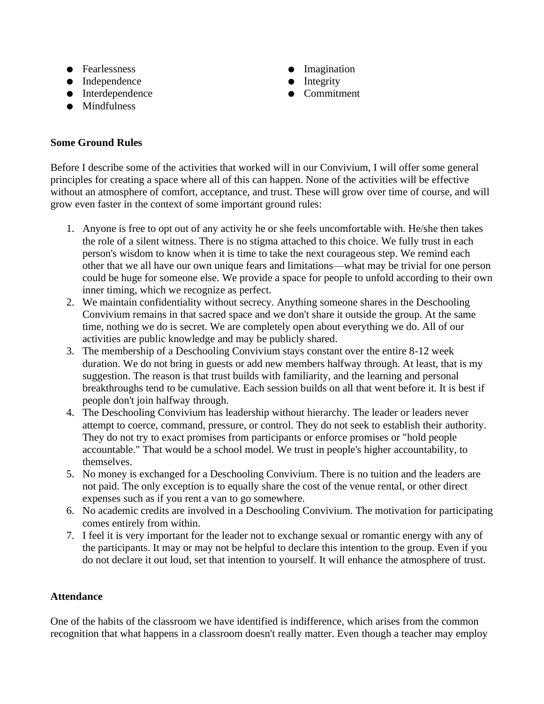- Fearlessness
- Independence
- Interdependence
- Mindfulness

# **Some Ground Rules**

- Imagination
- Integrity
- Commitment

Before I describe some of the activities that worked will in our Convivium, I will offer some general principles for creating a space where all of this can happen. None of the activities will be effective without an atmosphere of comfort, acceptance, and trust. These will grow over time of course, and will grow even faster in the context of some important ground rules:

- 1. Anyone is free to opt out of any activity he or she feels uncomfortable with. He/she then takes the role of a silent witness. There is no stigma attached to this choice. We fully trust in each person's wisdom to know when it is time to take the next courageous step. We remind each other that we all have our own unique fears and limitations—what may be trivial for one person could be huge for someone else. We provide a space for people to unfold according to their own inner timing, which we recognize as perfect.
- 2. We maintain confidentiality without secrecy. Anything someone shares in the Deschooling Convivium remains in that sacred space and we don't share it outside the group. At the same time, nothing we do is secret. We are completely open about everything we do. All of our activities are public knowledge and may be publicly shared.
- 3. The membership of a Deschooling Convivium stays constant over the entire 8-12 week duration. We do not bring in guests or add new members halfway through. At least, that is my suggestion. The reason is that trust builds with familiarity, and the learning and personal breakthroughs tend to be cumulative. Each session builds on all that went before it. It is best if people don't join halfway through.
- 4. The Deschooling Convivium has leadership without hierarchy. The leader or leaders never attempt to coerce, command, pressure, or control. They do not seek to establish their authority. They do not try to exact promises from participants or enforce promises or "hold people accountable." That would be a school model. We trust in people's higher accountability, to themselves.
- 5. No money is exchanged for a Deschooling Convivium. There is no tuition and the leaders are not paid. The only exception is to equally share the cost of the venue rental, or other direct expenses such as if you rent a van to go somewhere.
- 6. No academic credits are involved in a Deschooling Convivium. The motivation for participating comes entirely from within.
- 7. I feel it is very important for the leader not to exchange sexual or romantic energy with any of the participants. It may or may not be helpful to declare this intention to the group. Even if you do not declare it out loud, set that intention to yourself. It will enhance the atmosphere of trust.

# **Attendance**

One of the habits of the classroom we have identified is indifference, which arises from the common recognition that what happens in a classroom doesn't really matter. Even though a teacher may employ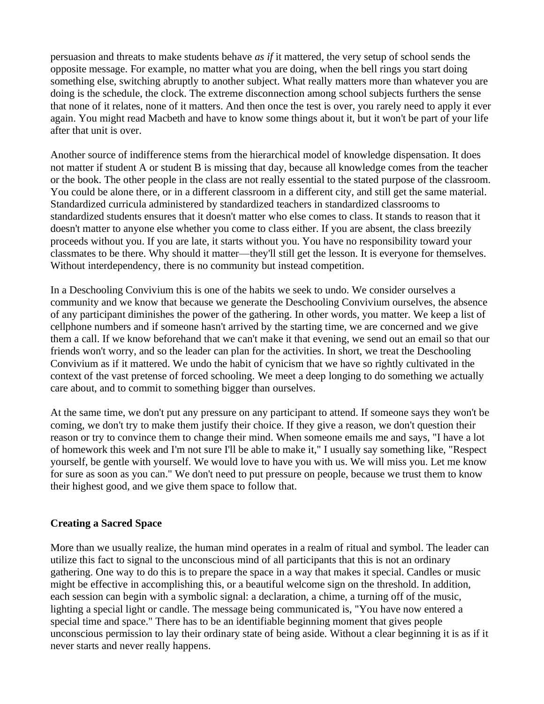persuasion and threats to make students behave *as if* it mattered, the very setup of school sends the opposite message. For example, no matter what you are doing, when the bell rings you start doing something else, switching abruptly to another subject. What really matters more than whatever you are doing is the schedule, the clock. The extreme disconnection among school subjects furthers the sense that none of it relates, none of it matters. And then once the test is over, you rarely need to apply it ever again. You might read Macbeth and have to know some things about it, but it won't be part of your life after that unit is over.

Another source of indifference stems from the hierarchical model of knowledge dispensation. It does not matter if student A or student B is missing that day, because all knowledge comes from the teacher or the book. The other people in the class are not really essential to the stated purpose of the classroom. You could be alone there, or in a different classroom in a different city, and still get the same material. Standardized curricula administered by standardized teachers in standardized classrooms to standardized students ensures that it doesn't matter who else comes to class. It stands to reason that it doesn't matter to anyone else whether you come to class either. If you are absent, the class breezily proceeds without you. If you are late, it starts without you. You have no responsibility toward your classmates to be there. Why should it matter—they'll still get the lesson. It is everyone for themselves. Without interdependency, there is no community but instead competition.

In a Deschooling Convivium this is one of the habits we seek to undo. We consider ourselves a community and we know that because we generate the Deschooling Convivium ourselves, the absence of any participant diminishes the power of the gathering. In other words, you matter. We keep a list of cellphone numbers and if someone hasn't arrived by the starting time, we are concerned and we give them a call. If we know beforehand that we can't make it that evening, we send out an email so that our friends won't worry, and so the leader can plan for the activities. In short, we treat the Deschooling Convivium as if it mattered. We undo the habit of cynicism that we have so rightly cultivated in the context of the vast pretense of forced schooling. We meet a deep longing to do something we actually care about, and to commit to something bigger than ourselves.

At the same time, we don't put any pressure on any participant to attend. If someone says they won't be coming, we don't try to make them justify their choice. If they give a reason, we don't question their reason or try to convince them to change their mind. When someone emails me and says, "I have a lot of homework this week and I'm not sure I'll be able to make it," I usually say something like, "Respect yourself, be gentle with yourself. We would love to have you with us. We will miss you. Let me know for sure as soon as you can." We don't need to put pressure on people, because we trust them to know their highest good, and we give them space to follow that.

# **Creating a Sacred Space**

More than we usually realize, the human mind operates in a realm of ritual and symbol. The leader can utilize this fact to signal to the unconscious mind of all participants that this is not an ordinary gathering. One way to do this is to prepare the space in a way that makes it special. Candles or music might be effective in accomplishing this, or a beautiful welcome sign on the threshold. In addition, each session can begin with a symbolic signal: a declaration, a chime, a turning off of the music, lighting a special light or candle. The message being communicated is, "You have now entered a special time and space." There has to be an identifiable beginning moment that gives people unconscious permission to lay their ordinary state of being aside. Without a clear beginning it is as if it never starts and never really happens.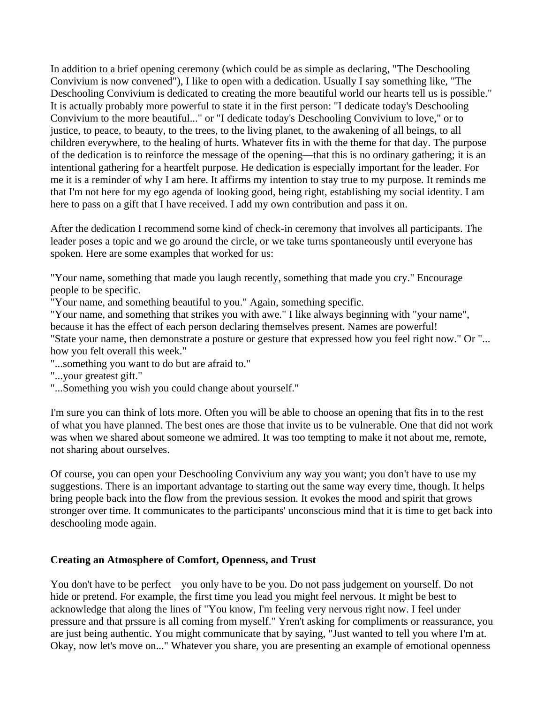In addition to a brief opening ceremony (which could be as simple as declaring, "The Deschooling Convivium is now convened"), I like to open with a dedication. Usually I say something like, "The Deschooling Convivium is dedicated to creating the more beautiful world our hearts tell us is possible." It is actually probably more powerful to state it in the first person: "I dedicate today's Deschooling Convivium to the more beautiful..." or "I dedicate today's Deschooling Convivium to love," or to justice, to peace, to beauty, to the trees, to the living planet, to the awakening of all beings, to all children everywhere, to the healing of hurts. Whatever fits in with the theme for that day. The purpose of the dedication is to reinforce the message of the opening—that this is no ordinary gathering; it is an intentional gathering for a heartfelt purpose. He dedication is especially important for the leader. For me it is a reminder of why I am here. It affirms my intention to stay true to my purpose. It reminds me that I'm not here for my ego agenda of looking good, being right, establishing my social identity. I am here to pass on a gift that I have received. I add my own contribution and pass it on.

After the dedication I recommend some kind of check-in ceremony that involves all participants. The leader poses a topic and we go around the circle, or we take turns spontaneously until everyone has spoken. Here are some examples that worked for us:

"Your name, something that made you laugh recently, something that made you cry." Encourage people to be specific.

"Your name, and something beautiful to you." Again, something specific.

"Your name, and something that strikes you with awe." I like always beginning with "your name",

because it has the effect of each person declaring themselves present. Names are powerful!

"State your name, then demonstrate a posture or gesture that expressed how you feel right now." Or "... how you felt overall this week."

"...something you want to do but are afraid to."

"...your greatest gift."

"...Something you wish you could change about yourself."

I'm sure you can think of lots more. Often you will be able to choose an opening that fits in to the rest of what you have planned. The best ones are those that invite us to be vulnerable. One that did not work was when we shared about someone we admired. It was too tempting to make it not about me, remote, not sharing about ourselves.

Of course, you can open your Deschooling Convivium any way you want; you don't have to use my suggestions. There is an important advantage to starting out the same way every time, though. It helps bring people back into the flow from the previous session. It evokes the mood and spirit that grows stronger over time. It communicates to the participants' unconscious mind that it is time to get back into deschooling mode again.

#### **Creating an Atmosphere of Comfort, Openness, and Trust**

You don't have to be perfect—you only have to be you. Do not pass judgement on yourself. Do not hide or pretend. For example, the first time you lead you might feel nervous. It might be best to acknowledge that along the lines of "You know, I'm feeling very nervous right now. I feel under pressure and that prssure is all coming from myself." Yren't asking for compliments or reassurance, you are just being authentic. You might communicate that by saying, "Just wanted to tell you where I'm at. Okay, now let's move on..." Whatever you share, you are presenting an example of emotional openness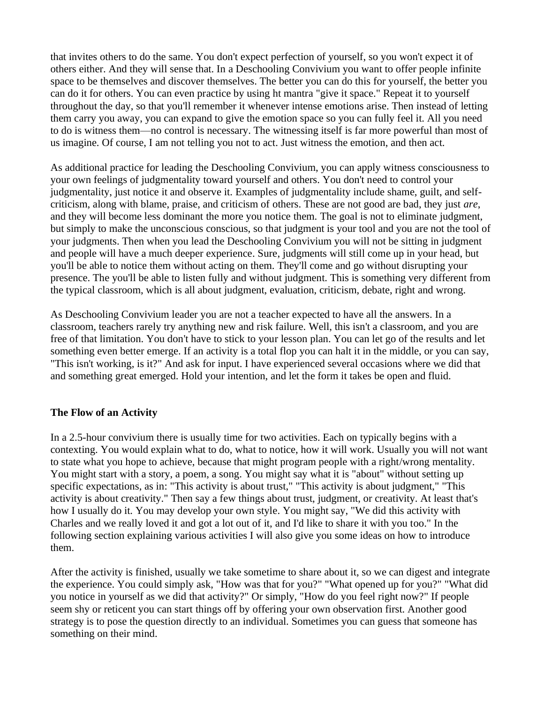that invites others to do the same. You don't expect perfection of yourself, so you won't expect it of others either. And they will sense that. In a Deschooling Convivium you want to offer people infinite space to be themselves and discover themselves. The better you can do this for yourself, the better you can do it for others. You can even practice by using ht mantra "give it space." Repeat it to yourself throughout the day, so that you'll remember it whenever intense emotions arise. Then instead of letting them carry you away, you can expand to give the emotion space so you can fully feel it. All you need to do is witness them—no control is necessary. The witnessing itself is far more powerful than most of us imagine. Of course, I am not telling you not to act. Just witness the emotion, and then act.

As additional practice for leading the Deschooling Convivium, you can apply witness consciousness to your own feelings of judgmentality toward yourself and others. You don't need to control your judgmentality, just notice it and observe it. Examples of judgmentality include shame, guilt, and selfcriticism, along with blame, praise, and criticism of others. These are not good are bad, they just *are*, and they will become less dominant the more you notice them. The goal is not to eliminate judgment, but simply to make the unconscious conscious, so that judgment is your tool and you are not the tool of your judgments. Then when you lead the Deschooling Convivium you will not be sitting in judgment and people will have a much deeper experience. Sure, judgments will still come up in your head, but you'll be able to notice them without acting on them. They'll come and go without disrupting your presence. The you'll be able to listen fully and without judgment. This is something very different from the typical classroom, which is all about judgment, evaluation, criticism, debate, right and wrong.

As Deschooling Convivium leader you are not a teacher expected to have all the answers. In a classroom, teachers rarely try anything new and risk failure. Well, this isn't a classroom, and you are free of that limitation. You don't have to stick to your lesson plan. You can let go of the results and let something even better emerge. If an activity is a total flop you can halt it in the middle, or you can say, "This isn't working, is it?" And ask for input. I have experienced several occasions where we did that and something great emerged. Hold your intention, and let the form it takes be open and fluid.

# **The Flow of an Activity**

In a 2.5-hour convivium there is usually time for two activities. Each on typically begins with a contexting. You would explain what to do, what to notice, how it will work. Usually you will not want to state what you hope to achieve, because that might program people with a right/wrong mentality. You might start with a story, a poem, a song. You might say what it is "about" without setting up specific expectations, as in: "This activity is about trust," "This activity is about judgment," "This activity is about creativity." Then say a few things about trust, judgment, or creativity. At least that's how I usually do it. You may develop your own style. You might say, "We did this activity with Charles and we really loved it and got a lot out of it, and I'd like to share it with you too." In the following section explaining various activities I will also give you some ideas on how to introduce them.

After the activity is finished, usually we take sometime to share about it, so we can digest and integrate the experience. You could simply ask, "How was that for you?" "What opened up for you?" "What did you notice in yourself as we did that activity?" Or simply, "How do you feel right now?" If people seem shy or reticent you can start things off by offering your own observation first. Another good strategy is to pose the question directly to an individual. Sometimes you can guess that someone has something on their mind.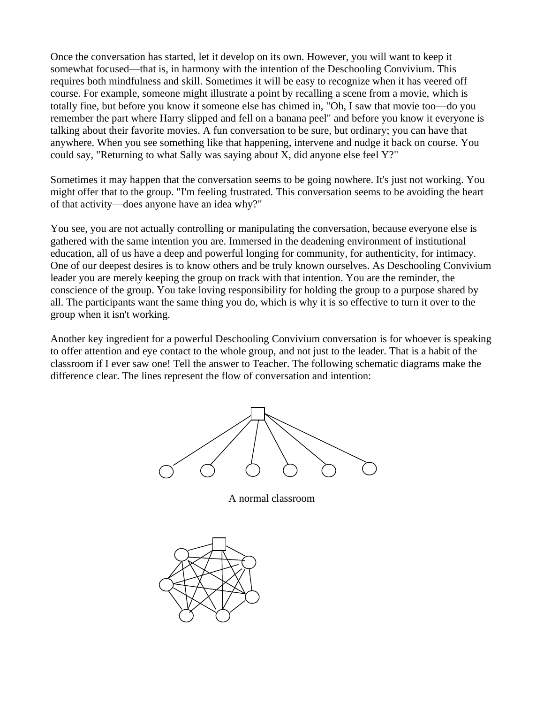Once the conversation has started, let it develop on its own. However, you will want to keep it somewhat focused—that is, in harmony with the intention of the Deschooling Convivium. This requires both mindfulness and skill. Sometimes it will be easy to recognize when it has veered off course. For example, someone might illustrate a point by recalling a scene from a movie, which is totally fine, but before you know it someone else has chimed in, "Oh, I saw that movie too—do you remember the part where Harry slipped and fell on a banana peel" and before you know it everyone is talking about their favorite movies. A fun conversation to be sure, but ordinary; you can have that anywhere. When you see something like that happening, intervene and nudge it back on course. You could say, "Returning to what Sally was saying about X, did anyone else feel Y?"

Sometimes it may happen that the conversation seems to be going nowhere. It's just not working. You might offer that to the group. "I'm feeling frustrated. This conversation seems to be avoiding the heart of that activity—does anyone have an idea why?"

You see, you are not actually controlling or manipulating the conversation, because everyone else is gathered with the same intention you are. Immersed in the deadening environment of institutional education, all of us have a deep and powerful longing for community, for authenticity, for intimacy. One of our deepest desires is to know others and be truly known ourselves. As Deschooling Convivium leader you are merely keeping the group on track with that intention. You are the reminder, the conscience of the group. You take loving responsibility for holding the group to a purpose shared by all. The participants want the same thing you do, which is why it is so effective to turn it over to the group when it isn't working.

Another key ingredient for a powerful Deschooling Convivium conversation is for whoever is speaking to offer attention and eye contact to the whole group, and not just to the leader. That is a habit of the classroom if I ever saw one! Tell the answer to Teacher. The following schematic diagrams make the difference clear. The lines represent the flow of conversation and intention:



A normal classroom

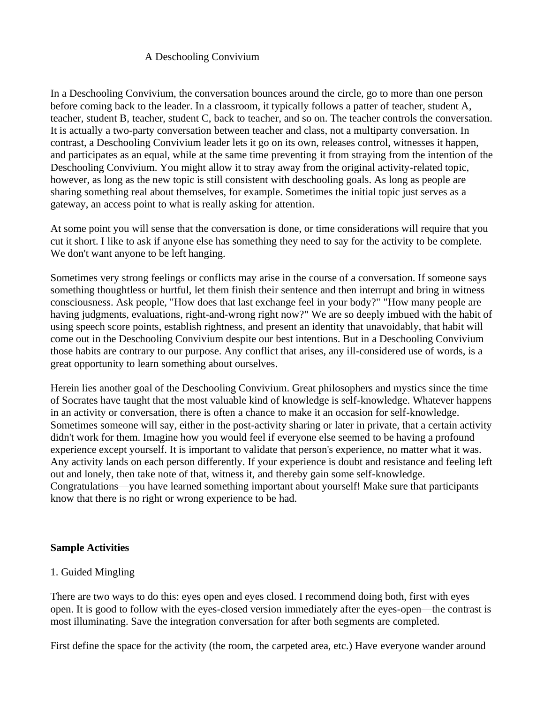# A Deschooling Convivium

In a Deschooling Convivium, the conversation bounces around the circle, go to more than one person before coming back to the leader. In a classroom, it typically follows a patter of teacher, student A, teacher, student B, teacher, student C, back to teacher, and so on. The teacher controls the conversation. It is actually a two-party conversation between teacher and class, not a multiparty conversation. In contrast, a Deschooling Convivium leader lets it go on its own, releases control, witnesses it happen, and participates as an equal, while at the same time preventing it from straying from the intention of the Deschooling Convivium. You might allow it to stray away from the original activity-related topic, however, as long as the new topic is still consistent with deschooling goals. As long as people are sharing something real about themselves, for example. Sometimes the initial topic just serves as a gateway, an access point to what is really asking for attention.

At some point you will sense that the conversation is done, or time considerations will require that you cut it short. I like to ask if anyone else has something they need to say for the activity to be complete. We don't want anyone to be left hanging.

Sometimes very strong feelings or conflicts may arise in the course of a conversation. If someone says something thoughtless or hurtful, let them finish their sentence and then interrupt and bring in witness consciousness. Ask people, "How does that last exchange feel in your body?" "How many people are having judgments, evaluations, right-and-wrong right now?" We are so deeply imbued with the habit of using speech score points, establish rightness, and present an identity that unavoidably, that habit will come out in the Deschooling Convivium despite our best intentions. But in a Deschooling Convivium those habits are contrary to our purpose. Any conflict that arises, any ill-considered use of words, is a great opportunity to learn something about ourselves.

Herein lies another goal of the Deschooling Convivium. Great philosophers and mystics since the time of Socrates have taught that the most valuable kind of knowledge is self-knowledge. Whatever happens in an activity or conversation, there is often a chance to make it an occasion for self-knowledge. Sometimes someone will say, either in the post-activity sharing or later in private, that a certain activity didn't work for them. Imagine how you would feel if everyone else seemed to be having a profound experience except yourself. It is important to validate that person's experience, no matter what it was. Any activity lands on each person differently. If your experience is doubt and resistance and feeling left out and lonely, then take note of that, witness it, and thereby gain some self-knowledge. Congratulations—you have learned something important about yourself! Make sure that participants know that there is no right or wrong experience to be had.

#### **Sample Activities**

# 1. Guided Mingling

There are two ways to do this: eyes open and eyes closed. I recommend doing both, first with eyes open. It is good to follow with the eyes-closed version immediately after the eyes-open—the contrast is most illuminating. Save the integration conversation for after both segments are completed.

First define the space for the activity (the room, the carpeted area, etc.) Have everyone wander around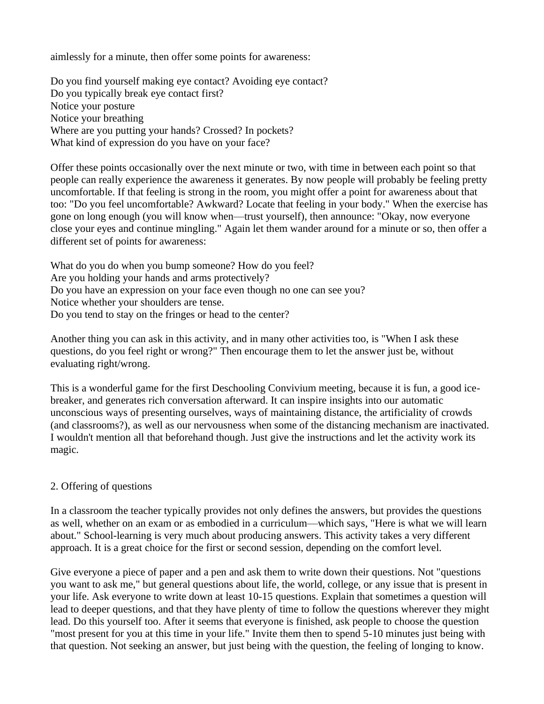aimlessly for a minute, then offer some points for awareness:

Do you find yourself making eye contact? Avoiding eye contact? Do you typically break eye contact first? Notice your posture Notice your breathing Where are you putting your hands? Crossed? In pockets? What kind of expression do you have on your face?

Offer these points occasionally over the next minute or two, with time in between each point so that people can really experience the awareness it generates. By now people will probably be feeling pretty uncomfortable. If that feeling is strong in the room, you might offer a point for awareness about that too: "Do you feel uncomfortable? Awkward? Locate that feeling in your body." When the exercise has gone on long enough (you will know when—trust yourself), then announce: "Okay, now everyone close your eyes and continue mingling." Again let them wander around for a minute or so, then offer a different set of points for awareness:

What do you do when you bump someone? How do you feel? Are you holding your hands and arms protectively? Do you have an expression on your face even though no one can see you? Notice whether your shoulders are tense. Do you tend to stay on the fringes or head to the center?

Another thing you can ask in this activity, and in many other activities too, is "When I ask these questions, do you feel right or wrong?" Then encourage them to let the answer just be, without evaluating right/wrong.

This is a wonderful game for the first Deschooling Convivium meeting, because it is fun, a good icebreaker, and generates rich conversation afterward. It can inspire insights into our automatic unconscious ways of presenting ourselves, ways of maintaining distance, the artificiality of crowds (and classrooms?), as well as our nervousness when some of the distancing mechanism are inactivated. I wouldn't mention all that beforehand though. Just give the instructions and let the activity work its magic.

# 2. Offering of questions

In a classroom the teacher typically provides not only defines the answers, but provides the questions as well, whether on an exam or as embodied in a curriculum—which says, "Here is what we will learn about." School-learning is very much about producing answers. This activity takes a very different approach. It is a great choice for the first or second session, depending on the comfort level.

Give everyone a piece of paper and a pen and ask them to write down their questions. Not "questions you want to ask me," but general questions about life, the world, college, or any issue that is present in your life. Ask everyone to write down at least 10-15 questions. Explain that sometimes a question will lead to deeper questions, and that they have plenty of time to follow the questions wherever they might lead. Do this yourself too. After it seems that everyone is finished, ask people to choose the question "most present for you at this time in your life." Invite them then to spend 5-10 minutes just being with that question. Not seeking an answer, but just being with the question, the feeling of longing to know.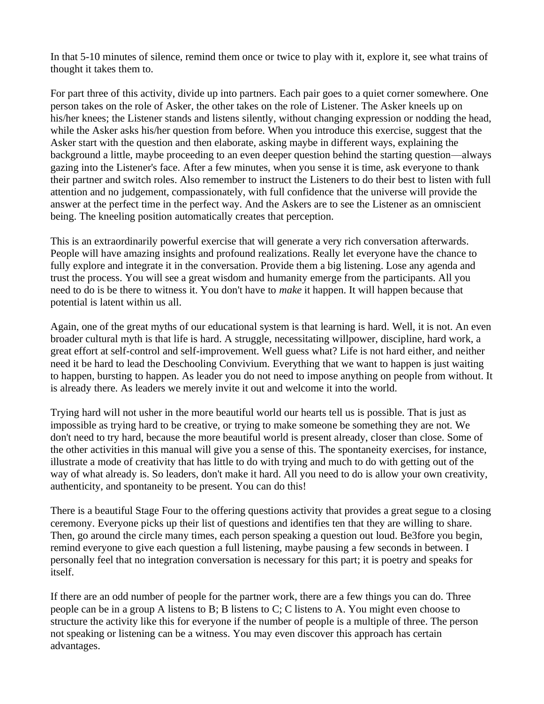In that 5-10 minutes of silence, remind them once or twice to play with it, explore it, see what trains of thought it takes them to.

For part three of this activity, divide up into partners. Each pair goes to a quiet corner somewhere. One person takes on the role of Asker, the other takes on the role of Listener. The Asker kneels up on his/her knees; the Listener stands and listens silently, without changing expression or nodding the head, while the Asker asks his/her question from before. When you introduce this exercise, suggest that the Asker start with the question and then elaborate, asking maybe in different ways, explaining the background a little, maybe proceeding to an even deeper question behind the starting question—always gazing into the Listener's face. After a few minutes, when you sense it is time, ask everyone to thank their partner and switch roles. Also remember to instruct the Listeners to do their best to listen with full attention and no judgement, compassionately, with full confidence that the universe will provide the answer at the perfect time in the perfect way. And the Askers are to see the Listener as an omniscient being. The kneeling position automatically creates that perception.

This is an extraordinarily powerful exercise that will generate a very rich conversation afterwards. People will have amazing insights and profound realizations. Really let everyone have the chance to fully explore and integrate it in the conversation. Provide them a big listening. Lose any agenda and trust the process. You will see a great wisdom and humanity emerge from the participants. All you need to do is be there to witness it. You don't have to *make* it happen. It will happen because that potential is latent within us all.

Again, one of the great myths of our educational system is that learning is hard. Well, it is not. An even broader cultural myth is that life is hard. A struggle, necessitating willpower, discipline, hard work, a great effort at self-control and self-improvement. Well guess what? Life is not hard either, and neither need it be hard to lead the Deschooling Convivium. Everything that we want to happen is just waiting to happen, bursting to happen. As leader you do not need to impose anything on people from without. It is already there. As leaders we merely invite it out and welcome it into the world.

Trying hard will not usher in the more beautiful world our hearts tell us is possible. That is just as impossible as trying hard to be creative, or trying to make someone be something they are not. We don't need to try hard, because the more beautiful world is present already, closer than close. Some of the other activities in this manual will give you a sense of this. The spontaneity exercises, for instance, illustrate a mode of creativity that has little to do with trying and much to do with getting out of the way of what already is. So leaders, don't make it hard. All you need to do is allow your own creativity, authenticity, and spontaneity to be present. You can do this!

There is a beautiful Stage Four to the offering questions activity that provides a great segue to a closing ceremony. Everyone picks up their list of questions and identifies ten that they are willing to share. Then, go around the circle many times, each person speaking a question out loud. Be3fore you begin, remind everyone to give each question a full listening, maybe pausing a few seconds in between. I personally feel that no integration conversation is necessary for this part; it is poetry and speaks for itself.

If there are an odd number of people for the partner work, there are a few things you can do. Three people can be in a group A listens to B; B listens to C; C listens to A. You might even choose to structure the activity like this for everyone if the number of people is a multiple of three. The person not speaking or listening can be a witness. You may even discover this approach has certain advantages.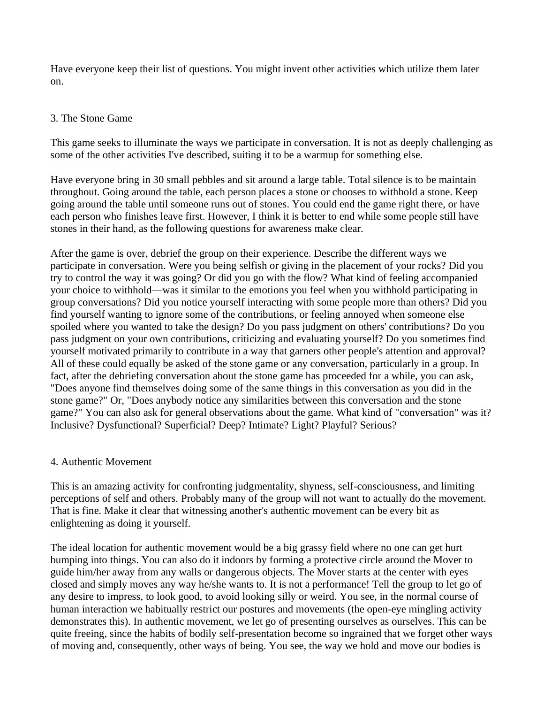Have everyone keep their list of questions. You might invent other activities which utilize them later on.

#### 3. The Stone Game

This game seeks to illuminate the ways we participate in conversation. It is not as deeply challenging as some of the other activities I've described, suiting it to be a warmup for something else.

Have everyone bring in 30 small pebbles and sit around a large table. Total silence is to be maintain throughout. Going around the table, each person places a stone or chooses to withhold a stone. Keep going around the table until someone runs out of stones. You could end the game right there, or have each person who finishes leave first. However, I think it is better to end while some people still have stones in their hand, as the following questions for awareness make clear.

After the game is over, debrief the group on their experience. Describe the different ways we participate in conversation. Were you being selfish or giving in the placement of your rocks? Did you try to control the way it was going? Or did you go with the flow? What kind of feeling accompanied your choice to withhold—was it similar to the emotions you feel when you withhold participating in group conversations? Did you notice yourself interacting with some people more than others? Did you find yourself wanting to ignore some of the contributions, or feeling annoyed when someone else spoiled where you wanted to take the design? Do you pass judgment on others' contributions? Do you pass judgment on your own contributions, criticizing and evaluating yourself? Do you sometimes find yourself motivated primarily to contribute in a way that garners other people's attention and approval? All of these could equally be asked of the stone game or any conversation, particularly in a group. In fact, after the debriefing conversation about the stone game has proceeded for a while, you can ask, "Does anyone find themselves doing some of the same things in this conversation as you did in the stone game?" Or, "Does anybody notice any similarities between this conversation and the stone game?" You can also ask for general observations about the game. What kind of "conversation" was it? Inclusive? Dysfunctional? Superficial? Deep? Intimate? Light? Playful? Serious?

# 4. Authentic Movement

This is an amazing activity for confronting judgmentality, shyness, self-consciousness, and limiting perceptions of self and others. Probably many of the group will not want to actually do the movement. That is fine. Make it clear that witnessing another's authentic movement can be every bit as enlightening as doing it yourself.

The ideal location for authentic movement would be a big grassy field where no one can get hurt bumping into things. You can also do it indoors by forming a protective circle around the Mover to guide him/her away from any walls or dangerous objects. The Mover starts at the center with eyes closed and simply moves any way he/she wants to. It is not a performance! Tell the group to let go of any desire to impress, to look good, to avoid looking silly or weird. You see, in the normal course of human interaction we habitually restrict our postures and movements (the open-eye mingling activity demonstrates this). In authentic movement, we let go of presenting ourselves as ourselves. This can be quite freeing, since the habits of bodily self-presentation become so ingrained that we forget other ways of moving and, consequently, other ways of being. You see, the way we hold and move our bodies is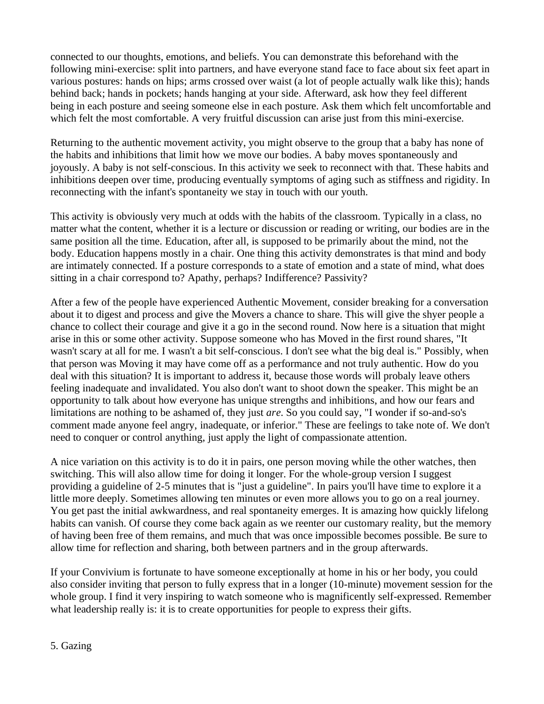connected to our thoughts, emotions, and beliefs. You can demonstrate this beforehand with the following mini-exercise: split into partners, and have everyone stand face to face about six feet apart in various postures: hands on hips; arms crossed over waist (a lot of people actually walk like this); hands behind back; hands in pockets; hands hanging at your side. Afterward, ask how they feel different being in each posture and seeing someone else in each posture. Ask them which felt uncomfortable and which felt the most comfortable. A very fruitful discussion can arise just from this mini-exercise.

Returning to the authentic movement activity, you might observe to the group that a baby has none of the habits and inhibitions that limit how we move our bodies. A baby moves spontaneously and joyously. A baby is not self-conscious. In this activity we seek to reconnect with that. These habits and inhibitions deepen over time, producing eventually symptoms of aging such as stiffness and rigidity. In reconnecting with the infant's spontaneity we stay in touch with our youth.

This activity is obviously very much at odds with the habits of the classroom. Typically in a class, no matter what the content, whether it is a lecture or discussion or reading or writing, our bodies are in the same position all the time. Education, after all, is supposed to be primarily about the mind, not the body. Education happens mostly in a chair. One thing this activity demonstrates is that mind and body are intimately connected. If a posture corresponds to a state of emotion and a state of mind, what does sitting in a chair correspond to? Apathy, perhaps? Indifference? Passivity?

After a few of the people have experienced Authentic Movement, consider breaking for a conversation about it to digest and process and give the Movers a chance to share. This will give the shyer people a chance to collect their courage and give it a go in the second round. Now here is a situation that might arise in this or some other activity. Suppose someone who has Moved in the first round shares, "It wasn't scary at all for me. I wasn't a bit self-conscious. I don't see what the big deal is." Possibly, when that person was Moving it may have come off as a performance and not truly authentic. How do you deal with this situation? It is important to address it, because those words will probaly leave others feeling inadequate and invalidated. You also don't want to shoot down the speaker. This might be an opportunity to talk about how everyone has unique strengths and inhibitions, and how our fears and limitations are nothing to be ashamed of, they just *are*. So you could say, "I wonder if so-and-so's comment made anyone feel angry, inadequate, or inferior." These are feelings to take note of. We don't need to conquer or control anything, just apply the light of compassionate attention.

A nice variation on this activity is to do it in pairs, one person moving while the other watches, then switching. This will also allow time for doing it longer. For the whole-group version I suggest providing a guideline of 2-5 minutes that is "just a guideline". In pairs you'll have time to explore it a little more deeply. Sometimes allowing ten minutes or even more allows you to go on a real journey. You get past the initial awkwardness, and real spontaneity emerges. It is amazing how quickly lifelong habits can vanish. Of course they come back again as we reenter our customary reality, but the memory of having been free of them remains, and much that was once impossible becomes possible. Be sure to allow time for reflection and sharing, both between partners and in the group afterwards.

If your Convivium is fortunate to have someone exceptionally at home in his or her body, you could also consider inviting that person to fully express that in a longer (10-minute) movement session for the whole group. I find it very inspiring to watch someone who is magnificently self-expressed. Remember what leadership really is: it is to create opportunities for people to express their gifts.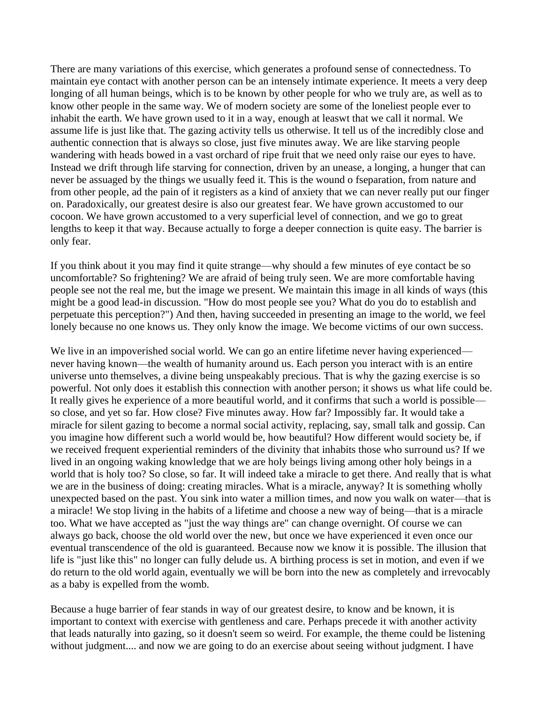There are many variations of this exercise, which generates a profound sense of connectedness. To maintain eye contact with another person can be an intensely intimate experience. It meets a very deep longing of all human beings, which is to be known by other people for who we truly are, as well as to know other people in the same way. We of modern society are some of the loneliest people ever to inhabit the earth. We have grown used to it in a way, enough at leaswt that we call it normal. We assume life is just like that. The gazing activity tells us otherwise. It tell us of the incredibly close and authentic connection that is always so close, just five minutes away. We are like starving people wandering with heads bowed in a vast orchard of ripe fruit that we need only raise our eyes to have. Instead we drift through life starving for connection, driven by an unease, a longing, a hunger that can never be assuaged by the things we usually feed it. This is the wound o fseparation, from nature and from other people, ad the pain of it registers as a kind of anxiety that we can never really put our finger on. Paradoxically, our greatest desire is also our greatest fear. We have grown accustomed to our cocoon. We have grown accustomed to a very superficial level of connection, and we go to great lengths to keep it that way. Because actually to forge a deeper connection is quite easy. The barrier is only fear.

If you think about it you may find it quite strange—why should a few minutes of eye contact be so uncomfortable? So frightening? We are afraid of being truly seen. We are more comfortable having people see not the real me, but the image we present. We maintain this image in all kinds of ways (this might be a good lead-in discussion. "How do most people see you? What do you do to establish and perpetuate this perception?") And then, having succeeded in presenting an image to the world, we feel lonely because no one knows us. They only know the image. We become victims of our own success.

We live in an impoverished social world. We can go an entire lifetime never having experienced never having known—the wealth of humanity around us. Each person you interact with is an entire universe unto themselves, a divine being unspeakably precious. That is why the gazing exercise is so powerful. Not only does it establish this connection with another person; it shows us what life could be. It really gives he experience of a more beautiful world, and it confirms that such a world is possible so close, and yet so far. How close? Five minutes away. How far? Impossibly far. It would take a miracle for silent gazing to become a normal social activity, replacing, say, small talk and gossip. Can you imagine how different such a world would be, how beautiful? How different would society be, if we received frequent experiential reminders of the divinity that inhabits those who surround us? If we lived in an ongoing waking knowledge that we are holy beings living among other holy beings in a world that is holy too? So close, so far. It will indeed take a miracle to get there. And really that is what we are in the business of doing: creating miracles. What is a miracle, anyway? It is something wholly unexpected based on the past. You sink into water a million times, and now you walk on water—that is a miracle! We stop living in the habits of a lifetime and choose a new way of being—that is a miracle too. What we have accepted as "just the way things are" can change overnight. Of course we can always go back, choose the old world over the new, but once we have experienced it even once our eventual transcendence of the old is guaranteed. Because now we know it is possible. The illusion that life is "just like this" no longer can fully delude us. A birthing process is set in motion, and even if we do return to the old world again, eventually we will be born into the new as completely and irrevocably as a baby is expelled from the womb.

Because a huge barrier of fear stands in way of our greatest desire, to know and be known, it is important to context with exercise with gentleness and care. Perhaps precede it with another activity that leads naturally into gazing, so it doesn't seem so weird. For example, the theme could be listening without judgment.... and now we are going to do an exercise about seeing without judgment. I have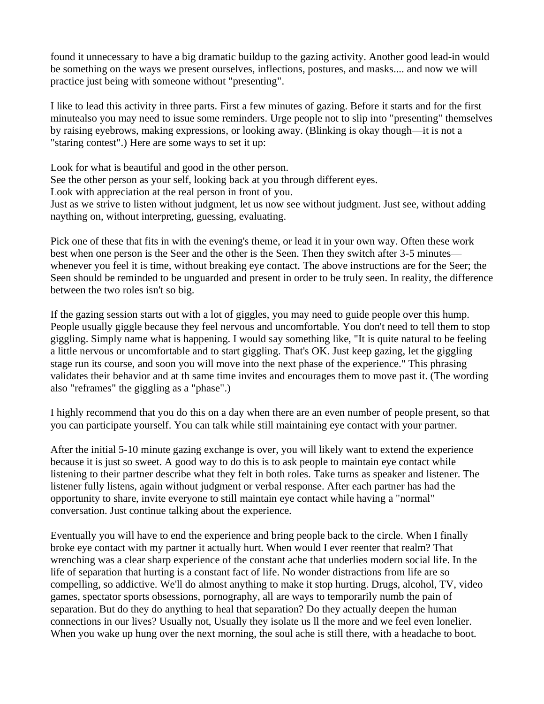found it unnecessary to have a big dramatic buildup to the gazing activity. Another good lead-in would be something on the ways we present ourselves, inflections, postures, and masks.... and now we will practice just being with someone without "presenting".

I like to lead this activity in three parts. First a few minutes of gazing. Before it starts and for the first minutealso you may need to issue some reminders. Urge people not to slip into "presenting" themselves by raising eyebrows, making expressions, or looking away. (Blinking is okay though—it is not a "staring contest".) Here are some ways to set it up:

Look for what is beautiful and good in the other person. See the other person as your self, looking back at you through different eyes. Look with appreciation at the real person in front of you. Just as we strive to listen without judgment, let us now see without judgment. Just see, without adding naything on, without interpreting, guessing, evaluating.

Pick one of these that fits in with the evening's theme, or lead it in your own way. Often these work best when one person is the Seer and the other is the Seen. Then they switch after 3-5 minutes whenever you feel it is time, without breaking eye contact. The above instructions are for the Seer; the Seen should be reminded to be unguarded and present in order to be truly seen. In reality, the difference between the two roles isn't so big.

If the gazing session starts out with a lot of giggles, you may need to guide people over this hump. People usually giggle because they feel nervous and uncomfortable. You don't need to tell them to stop giggling. Simply name what is happening. I would say something like, "It is quite natural to be feeling a little nervous or uncomfortable and to start giggling. That's OK. Just keep gazing, let the giggling stage run its course, and soon you will move into the next phase of the experience." This phrasing validates their behavior and at th same time invites and encourages them to move past it. (The wording also "reframes" the giggling as a "phase".)

I highly recommend that you do this on a day when there are an even number of people present, so that you can participate yourself. You can talk while still maintaining eye contact with your partner.

After the initial 5-10 minute gazing exchange is over, you will likely want to extend the experience because it is just so sweet. A good way to do this is to ask people to maintain eye contact while listening to their partner describe what they felt in both roles. Take turns as speaker and listener. The listener fully listens, again without judgment or verbal response. After each partner has had the opportunity to share, invite everyone to still maintain eye contact while having a "normal" conversation. Just continue talking about the experience.

Eventually you will have to end the experience and bring people back to the circle. When I finally broke eye contact with my partner it actually hurt. When would I ever reenter that realm? That wrenching was a clear sharp experience of the constant ache that underlies modern social life. In the life of separation that hurting is a constant fact of life. No wonder distractions from life are so compelling, so addictive. We'll do almost anything to make it stop hurting. Drugs, alcohol, TV, video games, spectator sports obsessions, pornography, all are ways to temporarily numb the pain of separation. But do they do anything to heal that separation? Do they actually deepen the human connections in our lives? Usually not, Usually they isolate us ll the more and we feel even lonelier. When you wake up hung over the next morning, the soul ache is still there, with a headache to boot.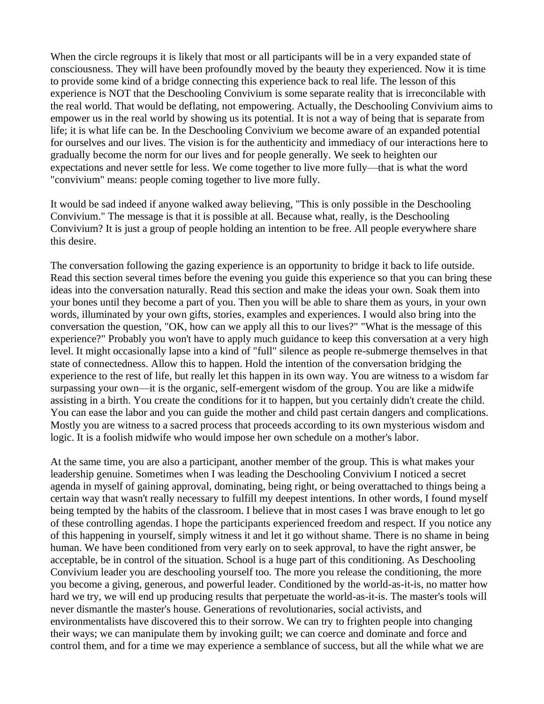When the circle regroups it is likely that most or all participants will be in a very expanded state of consciousness. They will have been profoundly moved by the beauty they experienced. Now it is time to provide some kind of a bridge connecting this experience back to real life. The lesson of this experience is NOT that the Deschooling Convivium is some separate reality that is irreconcilable with the real world. That would be deflating, not empowering. Actually, the Deschooling Convivium aims to empower us in the real world by showing us its potential. It is not a way of being that is separate from life; it is what life can be. In the Deschooling Convivium we become aware of an expanded potential for ourselves and our lives. The vision is for the authenticity and immediacy of our interactions here to gradually become the norm for our lives and for people generally. We seek to heighten our expectations and never settle for less. We come together to live more fully—that is what the word "convivium" means: people coming together to live more fully.

It would be sad indeed if anyone walked away believing, "This is only possible in the Deschooling Convivium." The message is that it is possible at all. Because what, really, is the Deschooling Convivium? It is just a group of people holding an intention to be free. All people everywhere share this desire.

The conversation following the gazing experience is an opportunity to bridge it back to life outside. Read this section several times before the evening you guide this experience so that you can bring these ideas into the conversation naturally. Read this section and make the ideas your own. Soak them into your bones until they become a part of you. Then you will be able to share them as yours, in your own words, illuminated by your own gifts, stories, examples and experiences. I would also bring into the conversation the question, "OK, how can we apply all this to our lives?" "What is the message of this experience?" Probably you won't have to apply much guidance to keep this conversation at a very high level. It might occasionally lapse into a kind of "full" silence as people re-submerge themselves in that state of connectedness. Allow this to happen. Hold the intention of the conversation bridging the experience to the rest of life, but really let this happen in its own way. You are witness to a wisdom far surpassing your own—it is the organic, self-emergent wisdom of the group. You are like a midwife assisting in a birth. You create the conditions for it to happen, but you certainly didn't create the child. You can ease the labor and you can guide the mother and child past certain dangers and complications. Mostly you are witness to a sacred process that proceeds according to its own mysterious wisdom and logic. It is a foolish midwife who would impose her own schedule on a mother's labor.

At the same time, you are also a participant, another member of the group. This is what makes your leadership genuine. Sometimes when I was leading the Deschooling Convivium I noticed a secret agenda in myself of gaining approval, dominating, being right, or being overattached to things being a certain way that wasn't really necessary to fulfill my deepest intentions. In other words, I found myself being tempted by the habits of the classroom. I believe that in most cases I was brave enough to let go of these controlling agendas. I hope the participants experienced freedom and respect. If you notice any of this happening in yourself, simply witness it and let it go without shame. There is no shame in being human. We have been conditioned from very early on to seek approval, to have the right answer, be acceptable, be in control of the situation. School is a huge part of this conditioning. As Deschooling Convivium leader you are deschooling yourself too. The more you release the conditioning, the more you become a giving, generous, and powerful leader. Conditioned by the world-as-it-is, no matter how hard we try, we will end up producing results that perpetuate the world-as-it-is. The master's tools will never dismantle the master's house. Generations of revolutionaries, social activists, and environmentalists have discovered this to their sorrow. We can try to frighten people into changing their ways; we can manipulate them by invoking guilt; we can coerce and dominate and force and control them, and for a time we may experience a semblance of success, but all the while what we are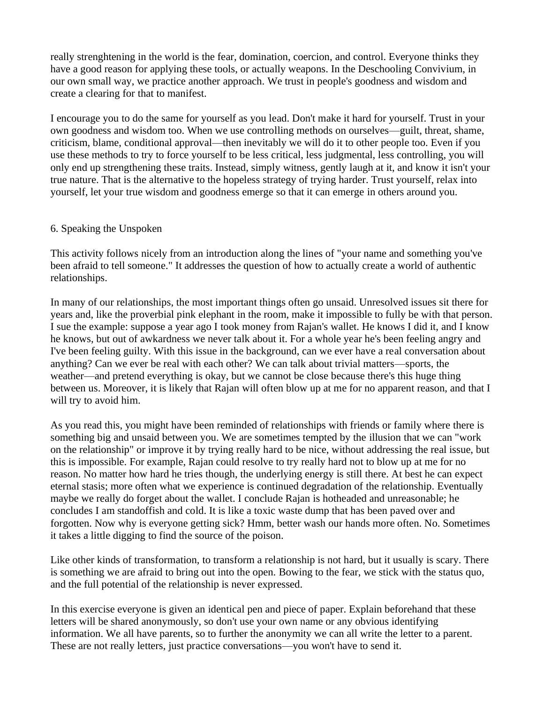really strenghtening in the world is the fear, domination, coercion, and control. Everyone thinks they have a good reason for applying these tools, or actually weapons. In the Deschooling Convivium, in our own small way, we practice another approach. We trust in people's goodness and wisdom and create a clearing for that to manifest.

I encourage you to do the same for yourself as you lead. Don't make it hard for yourself. Trust in your own goodness and wisdom too. When we use controlling methods on ourselves—guilt, threat, shame, criticism, blame, conditional approval—then inevitably we will do it to other people too. Even if you use these methods to try to force yourself to be less critical, less judgmental, less controlling, you will only end up strengthening these traits. Instead, simply witness, gently laugh at it, and know it isn't your true nature. That is the alternative to the hopeless strategy of trying harder. Trust yourself, relax into yourself, let your true wisdom and goodness emerge so that it can emerge in others around you.

#### 6. Speaking the Unspoken

This activity follows nicely from an introduction along the lines of "your name and something you've been afraid to tell someone." It addresses the question of how to actually create a world of authentic relationships.

In many of our relationships, the most important things often go unsaid. Unresolved issues sit there for years and, like the proverbial pink elephant in the room, make it impossible to fully be with that person. I sue the example: suppose a year ago I took money from Rajan's wallet. He knows I did it, and I know he knows, but out of awkardness we never talk about it. For a whole year he's been feeling angry and I've been feeling guilty. With this issue in the background, can we ever have a real conversation about anything? Can we ever be real with each other? We can talk about trivial matters—sports, the weather—and pretend everything is okay, but we cannot be close because there's this huge thing between us. Moreover, it is likely that Rajan will often blow up at me for no apparent reason, and that I will try to avoid him.

As you read this, you might have been reminded of relationships with friends or family where there is something big and unsaid between you. We are sometimes tempted by the illusion that we can "work on the relationship" or improve it by trying really hard to be nice, without addressing the real issue, but this is impossible. For example, Rajan could resolve to try really hard not to blow up at me for no reason. No matter how hard he tries though, the underlying energy is still there. At best he can expect eternal stasis; more often what we experience is continued degradation of the relationship. Eventually maybe we really do forget about the wallet. I conclude Rajan is hotheaded and unreasonable; he concludes I am standoffish and cold. It is like a toxic waste dump that has been paved over and forgotten. Now why is everyone getting sick? Hmm, better wash our hands more often. No. Sometimes it takes a little digging to find the source of the poison.

Like other kinds of transformation, to transform a relationship is not hard, but it usually is scary. There is something we are afraid to bring out into the open. Bowing to the fear, we stick with the status quo, and the full potential of the relationship is never expressed.

In this exercise everyone is given an identical pen and piece of paper. Explain beforehand that these letters will be shared anonymously, so don't use your own name or any obvious identifying information. We all have parents, so to further the anonymity we can all write the letter to a parent. These are not really letters, just practice conversations—you won't have to send it.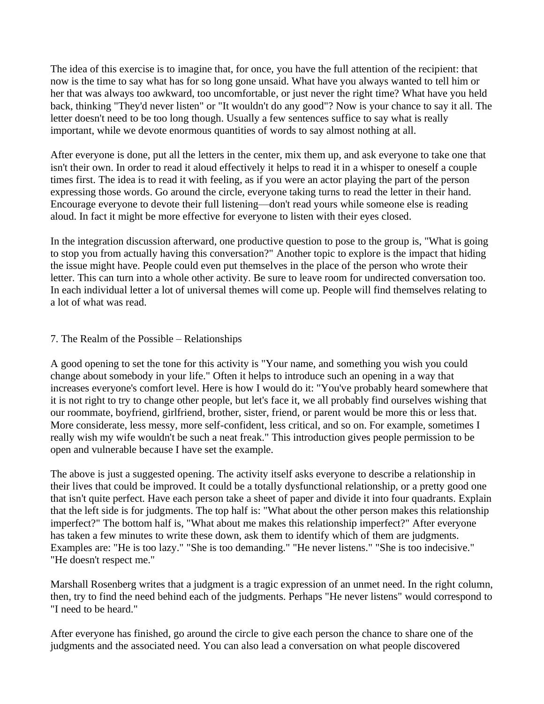The idea of this exercise is to imagine that, for once, you have the full attention of the recipient: that now is the time to say what has for so long gone unsaid. What have you always wanted to tell him or her that was always too awkward, too uncomfortable, or just never the right time? What have you held back, thinking "They'd never listen" or "It wouldn't do any good"? Now is your chance to say it all. The letter doesn't need to be too long though. Usually a few sentences suffice to say what is really important, while we devote enormous quantities of words to say almost nothing at all.

After everyone is done, put all the letters in the center, mix them up, and ask everyone to take one that isn't their own. In order to read it aloud effectively it helps to read it in a whisper to oneself a couple times first. The idea is to read it with feeling, as if you were an actor playing the part of the person expressing those words. Go around the circle, everyone taking turns to read the letter in their hand. Encourage everyone to devote their full listening—don't read yours while someone else is reading aloud. In fact it might be more effective for everyone to listen with their eyes closed.

In the integration discussion afterward, one productive question to pose to the group is, "What is going to stop you from actually having this conversation?" Another topic to explore is the impact that hiding the issue might have. People could even put themselves in the place of the person who wrote their letter. This can turn into a whole other activity. Be sure to leave room for undirected conversation too. In each individual letter a lot of universal themes will come up. People will find themselves relating to a lot of what was read.

# 7. The Realm of the Possible – Relationships

A good opening to set the tone for this activity is "Your name, and something you wish you could change about somebody in your life." Often it helps to introduce such an opening in a way that increases everyone's comfort level. Here is how I would do it: "You've probably heard somewhere that it is not right to try to change other people, but let's face it, we all probably find ourselves wishing that our roommate, boyfriend, girlfriend, brother, sister, friend, or parent would be more this or less that. More considerate, less messy, more self-confident, less critical, and so on. For example, sometimes I really wish my wife wouldn't be such a neat freak." This introduction gives people permission to be open and vulnerable because I have set the example.

The above is just a suggested opening. The activity itself asks everyone to describe a relationship in their lives that could be improved. It could be a totally dysfunctional relationship, or a pretty good one that isn't quite perfect. Have each person take a sheet of paper and divide it into four quadrants. Explain that the left side is for judgments. The top half is: "What about the other person makes this relationship imperfect?" The bottom half is, "What about me makes this relationship imperfect?" After everyone has taken a few minutes to write these down, ask them to identify which of them are judgments. Examples are: "He is too lazy." "She is too demanding." "He never listens." "She is too indecisive." "He doesn't respect me."

Marshall Rosenberg writes that a judgment is a tragic expression of an unmet need. In the right column, then, try to find the need behind each of the judgments. Perhaps "He never listens" would correspond to "I need to be heard."

After everyone has finished, go around the circle to give each person the chance to share one of the judgments and the associated need. You can also lead a conversation on what people discovered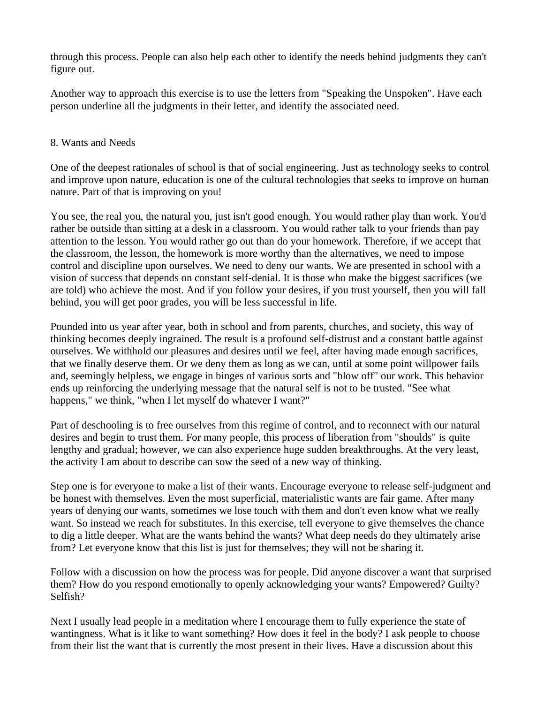through this process. People can also help each other to identify the needs behind judgments they can't figure out.

Another way to approach this exercise is to use the letters from "Speaking the Unspoken". Have each person underline all the judgments in their letter, and identify the associated need.

#### 8. Wants and Needs

One of the deepest rationales of school is that of social engineering. Just as technology seeks to control and improve upon nature, education is one of the cultural technologies that seeks to improve on human nature. Part of that is improving on you!

You see, the real you, the natural you, just isn't good enough. You would rather play than work. You'd rather be outside than sitting at a desk in a classroom. You would rather talk to your friends than pay attention to the lesson. You would rather go out than do your homework. Therefore, if we accept that the classroom, the lesson, the homework is more worthy than the alternatives, we need to impose control and discipline upon ourselves. We need to deny our wants. We are presented in school with a vision of success that depends on constant self-denial. It is those who make the biggest sacrifices (we are told) who achieve the most. And if you follow your desires, if you trust yourself, then you will fall behind, you will get poor grades, you will be less successful in life.

Pounded into us year after year, both in school and from parents, churches, and society, this way of thinking becomes deeply ingrained. The result is a profound self-distrust and a constant battle against ourselves. We withhold our pleasures and desires until we feel, after having made enough sacrifices, that we finally deserve them. Or we deny them as long as we can, until at some point willpower fails and, seemingly helpless, we engage in binges of various sorts and "blow off" our work. This behavior ends up reinforcing the underlying message that the natural self is not to be trusted. "See what happens," we think, "when I let myself do whatever I want?"

Part of deschooling is to free ourselves from this regime of control, and to reconnect with our natural desires and begin to trust them. For many people, this process of liberation from "shoulds" is quite lengthy and gradual; however, we can also experience huge sudden breakthroughs. At the very least, the activity I am about to describe can sow the seed of a new way of thinking.

Step one is for everyone to make a list of their wants. Encourage everyone to release self-judgment and be honest with themselves. Even the most superficial, materialistic wants are fair game. After many years of denying our wants, sometimes we lose touch with them and don't even know what we really want. So instead we reach for substitutes. In this exercise, tell everyone to give themselves the chance to dig a little deeper. What are the wants behind the wants? What deep needs do they ultimately arise from? Let everyone know that this list is just for themselves; they will not be sharing it.

Follow with a discussion on how the process was for people. Did anyone discover a want that surprised them? How do you respond emotionally to openly acknowledging your wants? Empowered? Guilty? Selfish?

Next I usually lead people in a meditation where I encourage them to fully experience the state of wantingness. What is it like to want something? How does it feel in the body? I ask people to choose from their list the want that is currently the most present in their lives. Have a discussion about this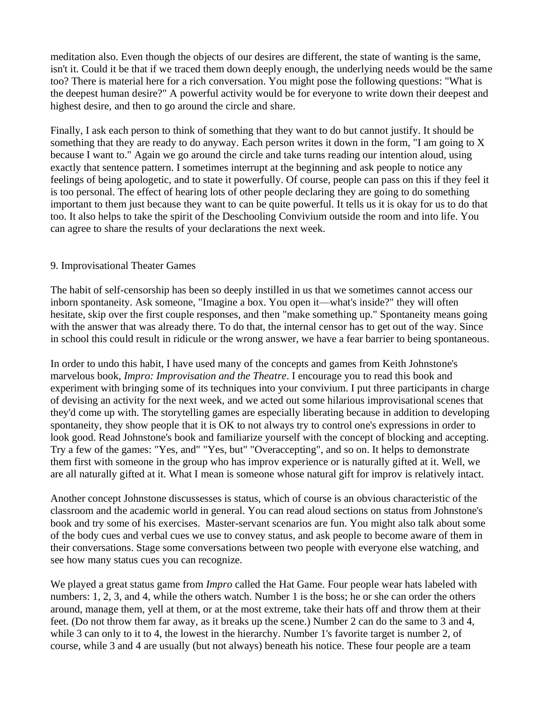meditation also. Even though the objects of our desires are different, the state of wanting is the same, isn't it. Could it be that if we traced them down deeply enough, the underlying needs would be the same too? There is material here for a rich conversation. You might pose the following questions: "What is the deepest human desire?" A powerful activity would be for everyone to write down their deepest and highest desire, and then to go around the circle and share.

Finally, I ask each person to think of something that they want to do but cannot justify. It should be something that they are ready to do anyway. Each person writes it down in the form, "I am going to X because I want to." Again we go around the circle and take turns reading our intention aloud, using exactly that sentence pattern. I sometimes interrupt at the beginning and ask people to notice any feelings of being apologetic, and to state it powerfully. Of course, people can pass on this if they feel it is too personal. The effect of hearing lots of other people declaring they are going to do something important to them just because they want to can be quite powerful. It tells us it is okay for us to do that too. It also helps to take the spirit of the Deschooling Convivium outside the room and into life. You can agree to share the results of your declarations the next week.

#### 9. Improvisational Theater Games

The habit of self-censorship has been so deeply instilled in us that we sometimes cannot access our inborn spontaneity. Ask someone, "Imagine a box. You open it—what's inside?" they will often hesitate, skip over the first couple responses, and then "make something up." Spontaneity means going with the answer that was already there. To do that, the internal censor has to get out of the way. Since in school this could result in ridicule or the wrong answer, we have a fear barrier to being spontaneous.

In order to undo this habit, I have used many of the concepts and games from Keith Johnstone's marvelous book, *Impro: Improvisation and the Theatre*. I encourage you to read this book and experiment with bringing some of its techniques into your convivium. I put three participants in charge of devising an activity for the next week, and we acted out some hilarious improvisational scenes that they'd come up with. The storytelling games are especially liberating because in addition to developing spontaneity, they show people that it is OK to not always try to control one's expressions in order to look good. Read Johnstone's book and familiarize yourself with the concept of blocking and accepting. Try a few of the games: "Yes, and" "Yes, but" "Overaccepting", and so on. It helps to demonstrate them first with someone in the group who has improv experience or is naturally gifted at it. Well, we are all naturally gifted at it. What I mean is someone whose natural gift for improv is relatively intact.

Another concept Johnstone discussesses is status, which of course is an obvious characteristic of the classroom and the academic world in general. You can read aloud sections on status from Johnstone's book and try some of his exercises. Master-servant scenarios are fun. You might also talk about some of the body cues and verbal cues we use to convey status, and ask people to become aware of them in their conversations. Stage some conversations between two people with everyone else watching, and see how many status cues you can recognize.

We played a great status game from *Impro* called the Hat Game. Four people wear hats labeled with numbers: 1, 2, 3, and 4, while the others watch. Number 1 is the boss; he or she can order the others around, manage them, yell at them, or at the most extreme, take their hats off and throw them at their feet. (Do not throw them far away, as it breaks up the scene.) Number 2 can do the same to 3 and 4, while 3 can only to it to 4, the lowest in the hierarchy. Number 1's favorite target is number 2, of course, while 3 and 4 are usually (but not always) beneath his notice. These four people are a team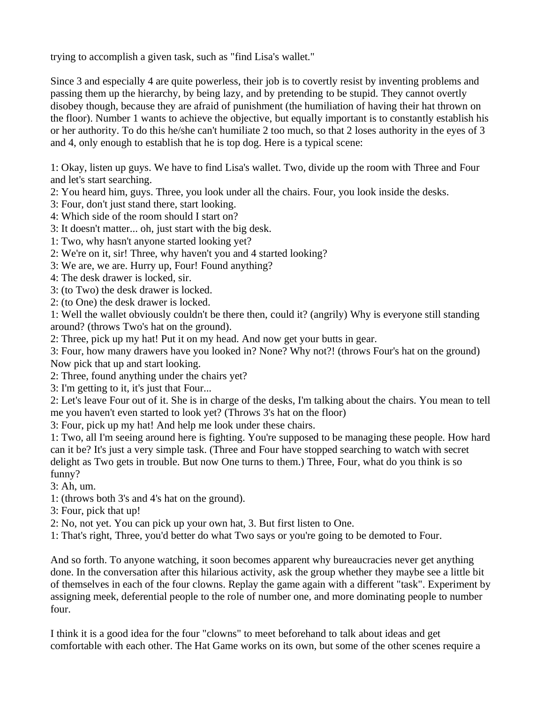trying to accomplish a given task, such as "find Lisa's wallet."

Since 3 and especially 4 are quite powerless, their job is to covertly resist by inventing problems and passing them up the hierarchy, by being lazy, and by pretending to be stupid. They cannot overtly disobey though, because they are afraid of punishment (the humiliation of having their hat thrown on the floor). Number 1 wants to achieve the objective, but equally important is to constantly establish his or her authority. To do this he/she can't humiliate 2 too much, so that 2 loses authority in the eyes of 3 and 4, only enough to establish that he is top dog. Here is a typical scene:

1: Okay, listen up guys. We have to find Lisa's wallet. Two, divide up the room with Three and Four and let's start searching.

- 2: You heard him, guys. Three, you look under all the chairs. Four, you look inside the desks.
- 3: Four, don't just stand there, start looking.
- 4: Which side of the room should I start on?
- 3: It doesn't matter... oh, just start with the big desk.
- 1: Two, why hasn't anyone started looking yet?
- 2: We're on it, sir! Three, why haven't you and 4 started looking?
- 3: We are, we are. Hurry up, Four! Found anything?
- 4: The desk drawer is locked, sir.
- 3: (to Two) the desk drawer is locked.
- 2: (to One) the desk drawer is locked.

1: Well the wallet obviously couldn't be there then, could it? (angrily) Why is everyone still standing around? (throws Two's hat on the ground).

2: Three, pick up my hat! Put it on my head. And now get your butts in gear.

3: Four, how many drawers have you looked in? None? Why not?! (throws Four's hat on the ground) Now pick that up and start looking.

2: Three, found anything under the chairs yet?

3: I'm getting to it, it's just that Four...

2: Let's leave Four out of it. She is in charge of the desks, I'm talking about the chairs. You mean to tell me you haven't even started to look yet? (Throws 3's hat on the floor)

3: Four, pick up my hat! And help me look under these chairs.

1: Two, all I'm seeing around here is fighting. You're supposed to be managing these people. How hard can it be? It's just a very simple task. (Three and Four have stopped searching to watch with secret delight as Two gets in trouble. But now One turns to them.) Three, Four, what do you think is so funny?

3: Ah, um.

1: (throws both 3's and 4's hat on the ground).

3: Four, pick that up!

2: No, not yet. You can pick up your own hat, 3. But first listen to One.

1: That's right, Three, you'd better do what Two says or you're going to be demoted to Four.

And so forth. To anyone watching, it soon becomes apparent why bureaucracies never get anything done. In the conversation after this hilarious activity, ask the group whether they maybe see a little bit of themselves in each of the four clowns. Replay the game again with a different "task". Experiment by assigning meek, deferential people to the role of number one, and more dominating people to number four.

I think it is a good idea for the four "clowns" to meet beforehand to talk about ideas and get comfortable with each other. The Hat Game works on its own, but some of the other scenes require a